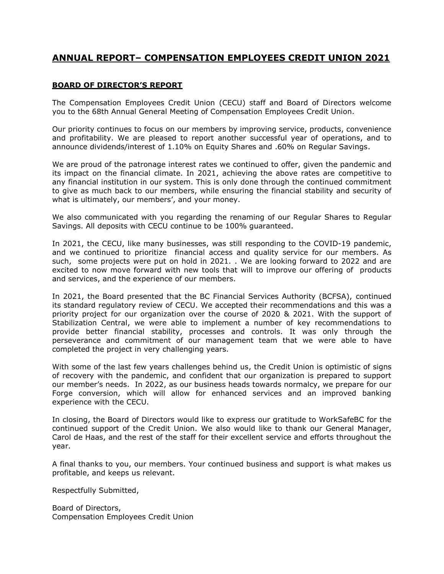## **ANNUAL REPORT– COMPENSATION EMPLOYEES CREDIT UNION 2021**

## **BOARD OF DIRECTOR'S REPORT**

The Compensation Employees Credit Union (CECU) staff and Board of Directors welcome you to the 68th Annual General Meeting of Compensation Employees Credit Union.

Our priority continues to focus on our members by improving service, products, convenience and profitability. We are pleased to report another successful year of operations, and to announce dividends/interest of 1.10% on Equity Shares and .60% on Regular Savings.

We are proud of the patronage interest rates we continued to offer, given the pandemic and its impact on the financial climate. In 2021, achieving the above rates are competitive to any financial institution in our system. This is only done through the continued commitment to give as much back to our members, while ensuring the financial stability and security of what is ultimately, our members', and your money.

We also communicated with you regarding the renaming of our Regular Shares to Regular Savings. All deposits with CECU continue to be 100% guaranteed.

In 2021, the CECU, like many businesses, was still responding to the COVID-19 pandemic, and we continued to prioritize financial access and quality service for our members. As such, some projects were put on hold in 2021. . We are looking forward to 2022 and are excited to now move forward with new tools that will to improve our offering of products and services, and the experience of our members.

In 2021, the Board presented that the BC Financial Services Authority (BCFSA), continued its standard regulatory review of CECU. We accepted their recommendations and this was a priority project for our organization over the course of 2020 & 2021. With the support of Stabilization Central, we were able to implement a number of key recommendations to provide better financial stability, processes and controls. It was only through the perseverance and commitment of our management team that we were able to have completed the project in very challenging years.

With some of the last few years challenges behind us, the Credit Union is optimistic of signs of recovery with the pandemic, and confident that our organization is prepared to support our member's needs. In 2022, as our business heads towards normalcy, we prepare for our Forge conversion, which will allow for enhanced services and an improved banking experience with the CECU.

In closing, the Board of Directors would like to express our gratitude to WorkSafeBC for the continued support of the Credit Union. We also would like to thank our General Manager, Carol de Haas, and the rest of the staff for their excellent service and efforts throughout the year.

A final thanks to you, our members. Your continued business and support is what makes us profitable, and keeps us relevant.

Respectfully Submitted,

Board of Directors, Compensation Employees Credit Union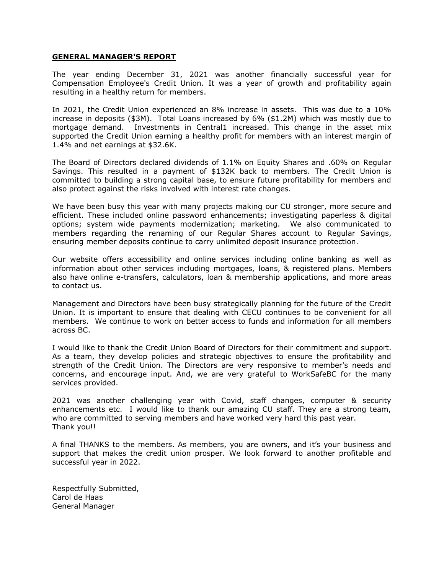## **GENERAL MANAGER'S REPORT**

The year ending December 31, 2021 was another financially successful year for Compensation Employee's Credit Union. It was a year of growth and profitability again resulting in a healthy return for members.

In 2021, the Credit Union experienced an 8% increase in assets. This was due to a 10% increase in deposits (\$3M). Total Loans increased by 6% (\$1.2M) which was mostly due to mortgage demand. Investments in Central1 increased. This change in the asset mix supported the Credit Union earning a healthy profit for members with an interest margin of 1.4% and net earnings at \$32.6K.

The Board of Directors declared dividends of 1.1% on Equity Shares and .60% on Regular Savings. This resulted in a payment of \$132K back to members. The Credit Union is committed to building a strong capital base, to ensure future profitability for members and also protect against the risks involved with interest rate changes.

We have been busy this year with many projects making our CU stronger, more secure and efficient. These included online password enhancements; investigating paperless & digital options; system wide payments modernization; marketing. We also communicated to members regarding the renaming of our Regular Shares account to Regular Savings, ensuring member deposits continue to carry unlimited deposit insurance protection.

Our website offers accessibility and online services including online banking as well as information about other services including mortgages, loans, & registered plans. Members also have online e-transfers, calculators, loan & membership applications, and more areas to contact us.

Management and Directors have been busy strategically planning for the future of the Credit Union. It is important to ensure that dealing with CECU continues to be convenient for all members. We continue to work on better access to funds and information for all members across BC.

I would like to thank the Credit Union Board of Directors for their commitment and support. As a team, they develop policies and strategic objectives to ensure the profitability and strength of the Credit Union. The Directors are very responsive to member's needs and concerns, and encourage input. And, we are very grateful to WorkSafeBC for the many services provided.

2021 was another challenging year with Covid, staff changes, computer & security enhancements etc. I would like to thank our amazing CU staff. They are a strong team, who are committed to serving members and have worked very hard this past year. Thank you!!

A final THANKS to the members. As members, you are owners, and it's your business and support that makes the credit union prosper. We look forward to another profitable and successful year in 2022.

Respectfully Submitted, Carol de Haas General Manager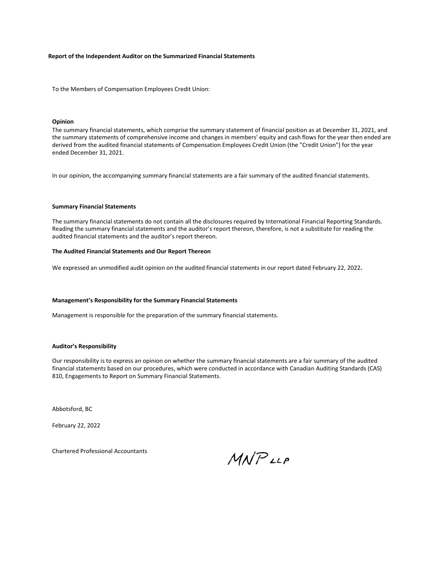#### **Report of the Independent Auditor on the Summarized Financial Statements**

To the Members of Compensation Employees Credit Union:

#### **Opinion**

The summary financial statements, which comprise the summary statement of financial position as at December 31, 2021, and the summary statements of comprehensive income and changes in members' equity and cash flows for the year then ended are derived from the audited financial statements of Compensation Employees Credit Union (the "Credit Union") for the year ended December 31, 2021.

In our opinion, the accompanying summary financial statements are a fair summary of the audited financial statements.

#### **Summary Financial Statements**

The summary financial statements do not contain all the disclosures required by International Financial Reporting Standards. Reading the summary financial statements and the auditor's report thereon, therefore, is not a substitute for reading the audited financial statements and the auditor's report thereon.

#### **The Audited Financial Statements and Our Report Thereon**

We expressed an unmodified audit opinion on the audited financial statements in our report dated February 22, 2022**.**

#### **Management's Responsibility for the Summary Financial Statements**

Management is responsible for the preparation of the summary financial statements.

#### **Auditor's Responsibility**

Our responsibility is to express an opinion on whether the summary financial statements are a fair summary of the audited financial statements based on our procedures, which were conducted in accordance with Canadian Auditing Standards (CAS) 810, Engagements to Report on Summary Financial Statements.

Abbotsford, BC

February 22, 2022

Chartered Professional Accountants

**MNPLLP**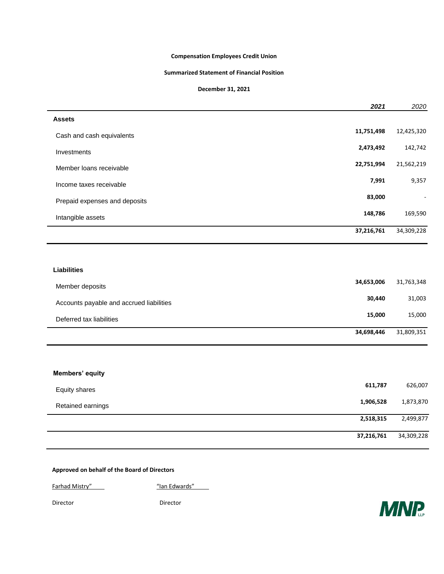## **Compensation Employees Credit Union**

#### **Summarized Statement of Financial Position**

### **December 31, 2021**

|                               | 2021       | 2020       |
|-------------------------------|------------|------------|
| <b>Assets</b>                 |            |            |
| Cash and cash equivalents     | 11,751,498 | 12,425,320 |
| Investments                   | 2,473,492  | 142,742    |
| Member loans receivable       | 22,751,994 | 21,562,219 |
| Income taxes receivable       | 7,991      | 9,357      |
| Prepaid expenses and deposits | 83,000     | ÷          |
| Intangible assets             | 148,786    | 169,590    |
|                               | 37,216,761 | 34,309,228 |
|                               |            |            |

#### **Liabilities**

 $\overline{\phantom{0}}$ 

 $\overline{a}$ 

 $\overline{\phantom{0}}$ 

| Member deposits                          | 34,653,006 | 31,763,348 |
|------------------------------------------|------------|------------|
| Accounts payable and accrued liabilities | 30,440     | 31,003     |
| Deferred tax liabilities                 | 15,000     | 15,000     |
|                                          | 34,698,446 | 31,809,351 |

## **Members' equity**

| <b>Equity shares</b> | 611,787    | 626,007    |
|----------------------|------------|------------|
| Retained earnings    | 1,906,528  | 1,873,870  |
|                      | 2,518,315  | 2,499,877  |
|                      | 37,216,761 | 34,309,228 |

### **Approved on behalf of the Board of Directors**

Farhad Mistry" The Control of Section 11 and 2012 11:30 minutes and the Manuscript Control of Tangana and Tangana and Tangana and Tangana and Tangana and Tangana and Tangana and Tangana and Tangana and Tangana and Tangana

Director Director

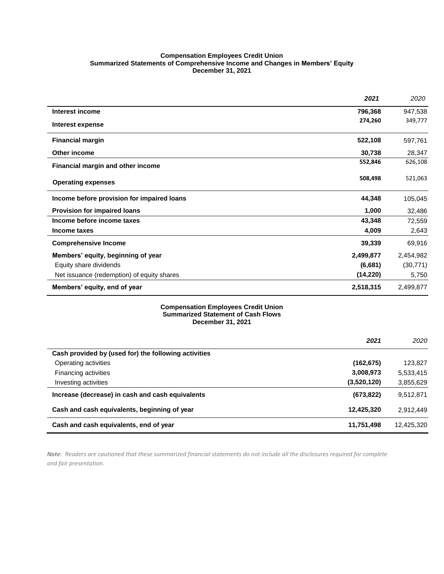#### **Compensation Employees Credit Union Summarized Statements of Comprehensive Income and Changes in Members' Equity December 31, 2021**

|                                            | 2021      | 2020      |
|--------------------------------------------|-----------|-----------|
| Interest income                            | 796,368   | 947,538   |
| Interest expense                           | 274,260   | 349,777   |
| <b>Financial margin</b>                    | 522,108   | 597,761   |
| Other income                               | 30,738    | 28,347    |
| Financial margin and other income          | 552,846   | 626,108   |
| <b>Operating expenses</b>                  | 508,498   | 521,063   |
| Income before provision for impaired loans | 44,348    | 105,045   |
| <b>Provision for impaired loans</b>        | 1,000     | 32,486    |
| Income before income taxes                 | 43,348    | 72,559    |
| Income taxes                               | 4,009     | 2,643     |
| <b>Comprehensive Income</b>                | 39,339    | 69,916    |
| Members' equity, beginning of year         | 2,499,877 | 2,454,982 |
| Equity share dividends                     | (6,681)   | (30, 771) |
| Net issuance (redemption) of equity shares | (14, 220) | 5,750     |
| Members' equity, end of year               | 2,518,315 | 2,499,877 |

#### **Compensation Employees Credit Union Summarized Statement of Cash Flows December 31, 2021**

|                                                      | 2021        | 2020       |
|------------------------------------------------------|-------------|------------|
| Cash provided by (used for) the following activities |             |            |
| Operating activities                                 | (162, 675)  | 123,827    |
| Financing activities                                 | 3,008,973   | 5,533,415  |
| Investing activities                                 | (3,520,120) | 3,855,629  |
| Increase (decrease) in cash and cash equivalents     | (673, 822)  | 9,512,871  |
| Cash and cash equivalents, beginning of year         | 12,425,320  | 2.912.449  |
| Cash and cash equivalents, end of year               | 11,751,498  | 12.425.320 |

*Note: Readers are cautioned that these summarized financial statements do not include all the disclosures required for complete and fair presentation.*